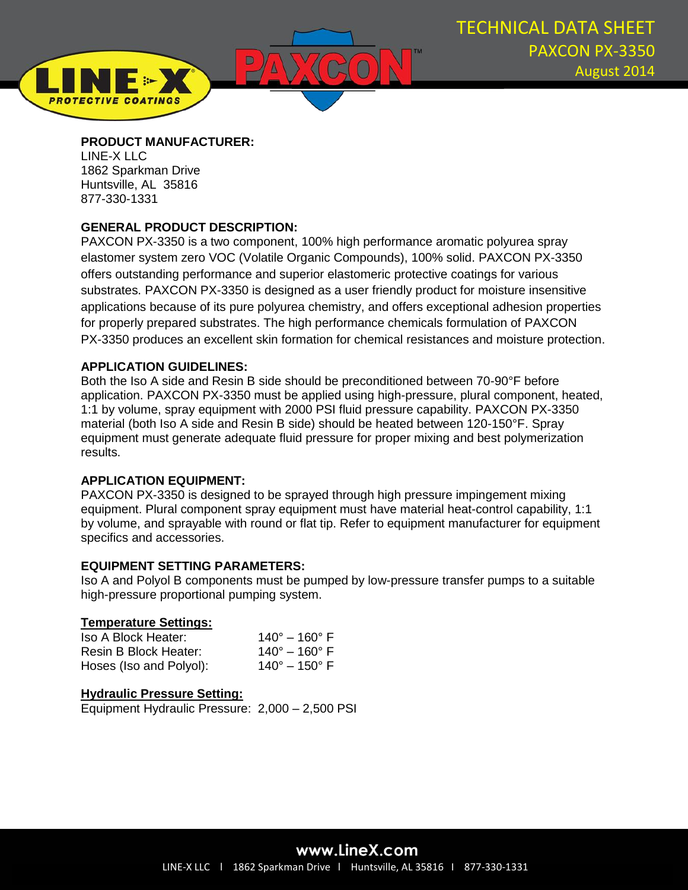

## **PRODUCT MANUFACTURER:**

LINE-X LLC 1862 Sparkman Drive Huntsville, AL 35816 877-330-1331

**PROTECTIVE COATINGS** 

# **GENERAL PRODUCT DESCRIPTION:**

PAXCON PX-3350 is a two component, 100% high performance aromatic polyurea spray elastomer system zero VOC (Volatile Organic Compounds), 100% solid. PAXCON PX-3350 offers outstanding performance and superior elastomeric protective coatings for various substrates. PAXCON PX-3350 is designed as a user friendly product for moisture insensitive applications because of its pure polyurea chemistry, and offers exceptional adhesion properties for properly prepared substrates. The high performance chemicals formulation of PAXCON PX-3350 produces an excellent skin formation for chemical resistances and moisture protection.

# **APPLICATION GUIDELINES:**

Both the Iso A side and Resin B side should be preconditioned between 70-90°F before application. PAXCON PX-3350 must be applied using high-pressure, plural component, heated, 1:1 by volume, spray equipment with 2000 PSI fluid pressure capability. PAXCON PX-3350 material (both Iso A side and Resin B side) should be heated between 120-150°F. Spray equipment must generate adequate fluid pressure for proper mixing and best polymerization results.

# **APPLICATION EQUIPMENT:**

PAXCON PX-3350 is designed to be sprayed through high pressure impingement mixing equipment. Plural component spray equipment must have material heat-control capability, 1:1 by volume, and sprayable with round or flat tip. Refer to equipment manufacturer for equipment specifics and accessories.

# **EQUIPMENT SETTING PARAMETERS:**

Iso A and Polyol B components must be pumped by low-pressure transfer pumps to a suitable high-pressure proportional pumping system.

# **Temperature Settings:**

| Iso A Block Heater:     | $140^{\circ} - 160^{\circ}$ F |
|-------------------------|-------------------------------|
| Resin B Block Heater:   | $140^{\circ} - 160^{\circ}$ F |
| Hoses (Iso and Polyol): | $140^{\circ} - 150^{\circ}$ F |

# **Hydraulic Pressure Setting:**

Equipment Hydraulic Pressure: 2,000 – 2,500 PSI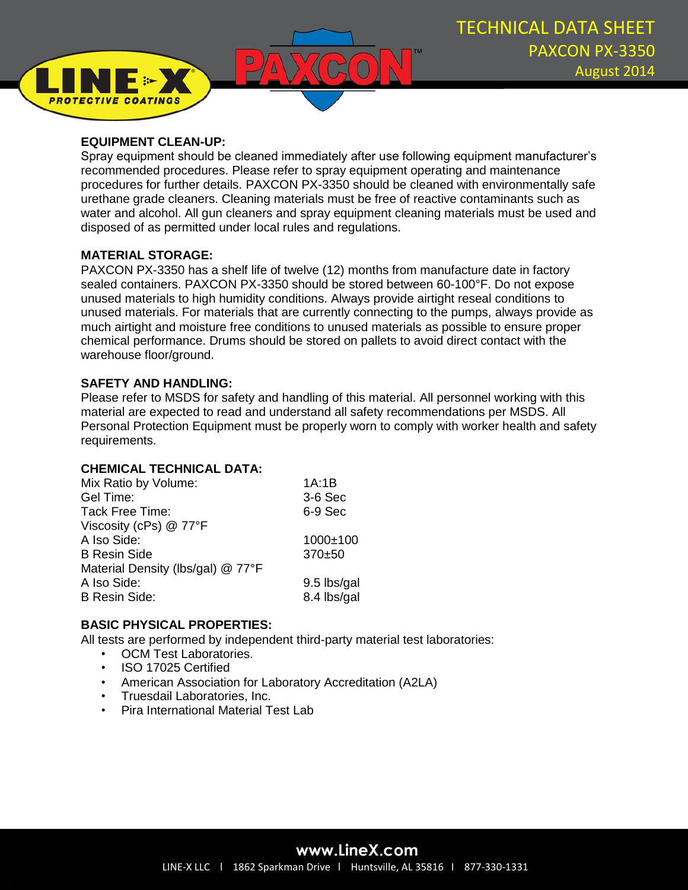

## **EQUIPMENT CLEAN-UP:**

**PROTECTIVE COATINGS** 

Spray equipment should be cleaned immediately after use following equipment manufacturer's recommended procedures. Please refer to spray equipment operating and maintenance procedures for further details. PAXCON PX-3350 should be cleaned with environmentally safe urethane grade cleaners. Cleaning materials must be free of reactive contaminants such as water and alcohol. All gun cleaners and spray equipment cleaning materials must be used and disposed of as permitted under local rules and regulations.

## **MATERIAL STORAGE:**

PAXCON PX-3350 has a shelf life of twelve (12) months from manufacture date in factory sealed containers. PAXCON PX-3350 should be stored between 60-100°F. Do not expose unused materials to high humidity conditions. Always provide airtight reseal conditions to unused materials. For materials that are currently connecting to the pumps, always provide as much airtight and moisture free conditions to unused materials as possible to ensure proper chemical performance. Drums should be stored on pallets to avoid direct contact with the warehouse floor/ground.

## **SAFETY AND HANDLING:**

Please refer to MSDS for safety and handling of this material. All personnel working with this material are expected to read and understand all safety recommendations per MSDS. All Personal Protection Equipment must be properly worn to comply with worker health and safety requirements.

### **CHEMICAL TECHNICAL DATA:**

| Mix Ratio by Volume:              | 1A:1B          |
|-----------------------------------|----------------|
| Gel Time:                         | $3-6$ Sec      |
| <b>Tack Free Time:</b>            | 6-9 Sec        |
| Viscosity (cPs) @ 77°F            |                |
| A Iso Side:                       | $1000 \pm 100$ |
| <b>B</b> Resin Side               | $370+50$       |
| Material Density (lbs/gal) @ 77°F |                |
| A Iso Side:                       | 9.5 lbs/gal    |
| <b>B Resin Side:</b>              | 8.4 lbs/gal    |

# **BASIC PHYSICAL PROPERTIES:**

All tests are performed by independent third-party material test laboratories:

- OCM Test Laboratories.
- ISO 17025 Certified
- American Association for Laboratory Accreditation (A2LA)
- Truesdail Laboratories, Inc.
- Pira International Material Test Lab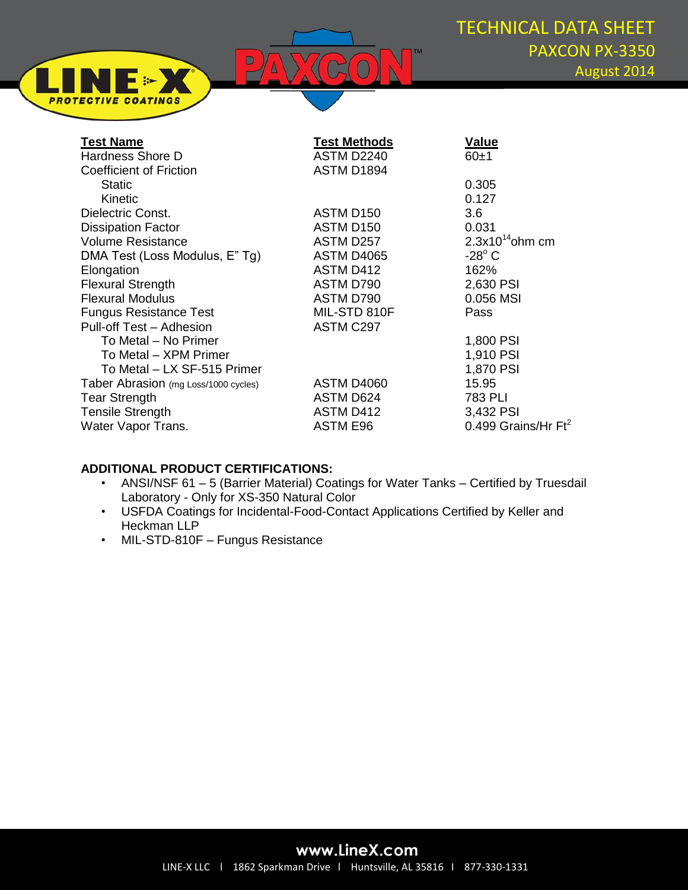

| <b>Test Name</b>                     | <b>Test Methods</b>   | <b>Value</b>                  |
|--------------------------------------|-----------------------|-------------------------------|
| Hardness Shore D                     | ASTM D2240            | 60±1                          |
| <b>Coefficient of Friction</b>       | ASTM D1894            |                               |
| <b>Static</b>                        |                       | 0.305                         |
| <b>Kinetic</b>                       |                       | 0.127                         |
| Dielectric Const.                    | ASTM D150             | 3.6                           |
| <b>Dissipation Factor</b>            | ASTM D <sub>150</sub> | 0.031                         |
| <b>Volume Resistance</b>             | ASTM D257             | $2.3x10^{14}$ ohm cm          |
| DMA Test (Loss Modulus, E"Tg)        | ASTM D4065            | $-28^\circ$ C                 |
| Elongation                           | ASTM D412             | 162%                          |
| <b>Flexural Strength</b>             | ASTM D790             | 2,630 PSI                     |
| <b>Flexural Modulus</b>              | ASTM D790             | 0.056 MSI                     |
| <b>Fungus Resistance Test</b>        | MIL-STD 810F          | Pass                          |
| Pull-off Test - Adhesion             | ASTM C297             |                               |
| To Metal – No Primer                 |                       | 1,800 PSI                     |
| To Metal - XPM Primer                |                       | 1,910 PSI                     |
| To Metal - LX SF-515 Primer          |                       | 1,870 PSI                     |
| Taber Abrasion (mg Loss/1000 cycles) | ASTM D4060            | 15.95                         |
| <b>Tear Strength</b>                 | ASTM D624             | 783 PLI                       |
| <b>Tensile Strength</b>              | ASTM D412             | 3,432 PSI                     |
| Water Vapor Trans.                   | <b>ASTM E96</b>       | 0.499 Grains/Hr $\text{Ft}^2$ |
|                                      |                       |                               |

#### **ADDITIONAL PRODUCT CERTIFICATIONS:**

∎ (⊳

**PROTECTIVE COATINGS** 

- ANSI/NSF 61 5 (Barrier Material) Coatings for Water Tanks Certified by Truesdail Laboratory - Only for XS-350 Natural Color
- USFDA Coatings for Incidental-Food-Contact Applications Certified by Keller and Heckman LLP
- MIL-STD-810F Fungus Resistance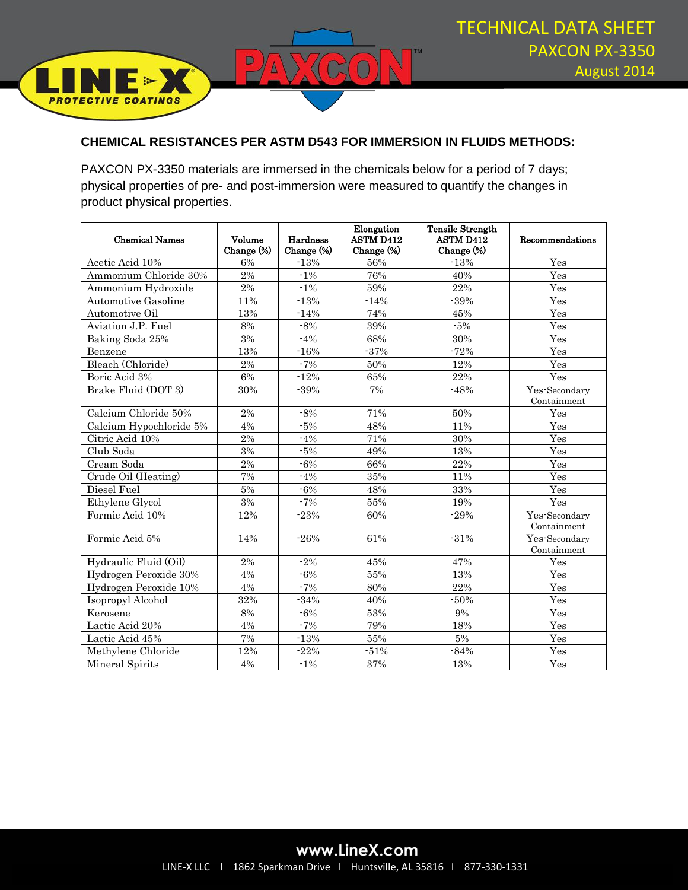

### **CHEMICAL RESISTANCES PER ASTM D543 FOR IMMERSION IN FLUIDS METHODS:**

 $\overline{\mathbb{C}}$ 

 $\boxed{0}$ 

PAXCON PX-3350 materials are immersed in the chemicals below for a period of 7 days; physical properties of pre- and post-immersion were measured to quantify the changes in product physical properties.

| <b>Chemical Names</b>   | Volume           | Hardness   | Elongation<br><b>ASTM D412</b> | <b>Tensile Strength</b><br><b>ASTM D412</b> | Recommendations              |
|-------------------------|------------------|------------|--------------------------------|---------------------------------------------|------------------------------|
|                         | Change (%)       | Change (%) | Change (%)                     | Change (%)                                  |                              |
| Acetic Acid 10%         | 6%               | $-13%$     | 56%                            | $-13%$                                      | Yes                          |
| Ammonium Chloride 30%   | 2%               | $-1\%$     | 76%                            | 40%                                         | Yes                          |
| Ammonium Hydroxide      | $\overline{2\%}$ | $-1\%$     | 59%                            | 22%                                         | Yes                          |
| Automotive Gasoline     | 11%              | $-13%$     | $-14%$                         | $-39%$                                      | Yes                          |
| Automotive Oil          | 13%              | $-14%$     | 74%                            | 45%                                         | Yes                          |
| Aviation J.P. Fuel      | 8%               | $-8%$      | 39%                            | $-5%$                                       | Yes                          |
| Baking Soda 25%         | 3%               | $-4%$      | 68%                            | 30%                                         | Yes                          |
| Benzene                 | 13%              | $-16%$     | $-37%$                         | $-72%$                                      | Yes                          |
| Bleach (Chloride)       | 2%               | $-7%$      | $50\%$                         | 12%                                         | Yes                          |
| Boric Acid 3%           | 6%               | $-12%$     | 65%                            | 22%                                         | Yes                          |
| Brake Fluid (DOT 3)     | 30%              | $-39%$     | 7%                             | $-48%$                                      | Yes-Secondary<br>Containment |
| Calcium Chloride 50%    | 2%               | $-8%$      | 71%                            | 50%                                         | Yes                          |
| Calcium Hypochloride 5% | 4%               | $-5%$      | 48%                            | 11%                                         | Yes                          |
| Citric Acid 10%         | 2%               | $-4%$      | 71%                            | 30%                                         | Yes                          |
| Club Soda               | 3%               | $-5%$      | 49%                            | 13%                                         | Yes                          |
| Cream Soda              | 2%               | $-6%$      | 66%                            | 22%                                         | Yes                          |
| Crude Oil (Heating)     | $7\%$            | $-4%$      | 35%                            | 11%                                         | Yes                          |
| Diesel Fuel             | $5\%$            | $-6%$      | 48%                            | 33%                                         | Yes                          |
| Ethylene Glycol         | $3\%$            | $-7%$      | 55%                            | 19%                                         | Yes                          |
| Formic Acid 10%         | 12%              | $-23%$     | 60%                            | $-29%$                                      | Yes-Secondary<br>Containment |
| Formic Acid 5%          | 14%              | $-26%$     | 61%                            | $-31%$                                      | Yes-Secondary<br>Containment |
| Hydraulic Fluid (Oil)   | $2\%$            | $-2%$      | 45%                            | 47%                                         | Yes                          |
| Hydrogen Peroxide 30%   | 4%               | $-6%$      | 55%                            | 13%                                         | Yes                          |
| Hydrogen Peroxide 10%   | 4%               | $-7%$      | 80%                            | 22%                                         | Yes                          |
| Isopropyl Alcohol       | 32%              | $-34%$     | 40%                            | $-50%$                                      | Yes                          |
| Kerosene                | $8\%$            | $-6%$      | 53%                            | 9%                                          | Yes                          |
| Lactic Acid 20%         | 4%               | $-7%$      | 79%                            | 18%                                         | Yes                          |
| Lactic Acid 45%         | 7%               | $-13%$     | 55%                            | $5\%$                                       | Yes                          |
| Methylene Chloride      | 12%              | $-22%$     | $-51%$                         | $-84%$                                      | Yes                          |
| Mineral Spirits         | 4%               | $-1\%$     | 37%                            | 13%                                         | Yes                          |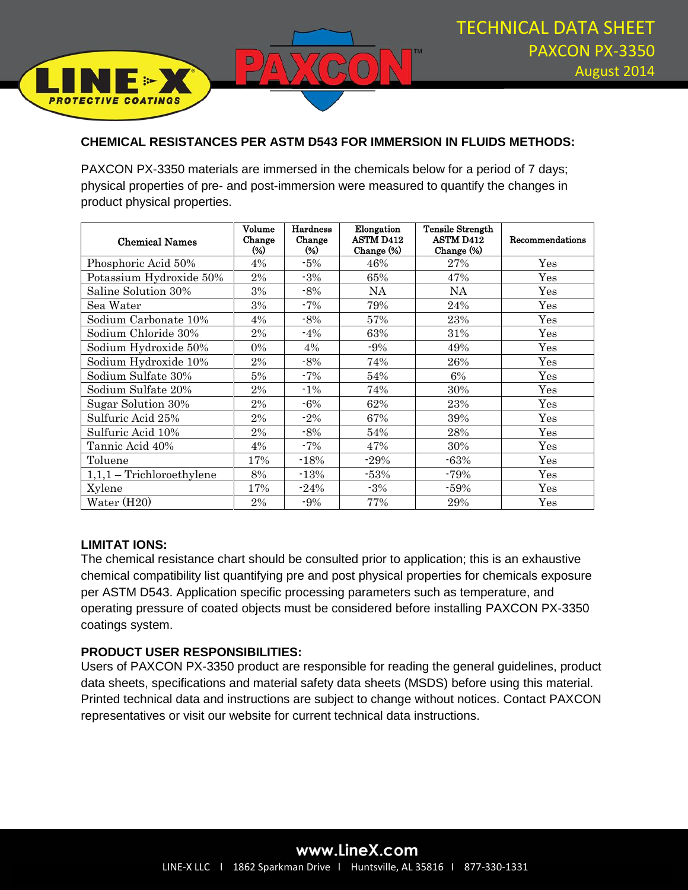

#### **CHEMICAL RESISTANCES PER ASTM D543 FOR IMMERSION IN FLUIDS METHODS:**

PAXCON PX-3350 materials are immersed in the chemicals below for a period of 7 days; physical properties of pre- and post-immersion were measured to quantify the changes in product physical properties.

| Chemical Names              | Volume<br>Change<br>$\frac{1}{2}$ | Hardness<br>Change<br>(%) | Elongation<br><b>ASTM D412</b><br>Change (%) | Tensile Strength<br><b>ASTM D412</b><br>Change (%) | <b>Recommendations</b> |
|-----------------------------|-----------------------------------|---------------------------|----------------------------------------------|----------------------------------------------------|------------------------|
| Phosphoric Acid 50%         | 4%                                | $-5%$                     | 46%                                          | 27%                                                | $\operatorname{Yes}$   |
| Potassium Hydroxide 50%     | 2%                                | $-3%$                     | 65%                                          | 47%                                                | $\operatorname{Yes}$   |
| Saline Solution 30%         | 3%                                | $-8%$                     | NA                                           | NA                                                 | Yes                    |
| Sea Water                   | 3%                                | $-7%$                     | 79%                                          | 24%                                                | Yes                    |
| Sodium Carbonate 10%        | 4%                                | $-8%$                     | 57%                                          | 23%                                                | Yes                    |
| Sodium Chloride 30%         | 2%                                | $-4\%$                    | 63%                                          | 31%                                                | $\operatorname{Yes}$   |
| Sodium Hydroxide 50%        | $0\%$                             | 4%                        | $-9%$                                        | 49%                                                | Yes                    |
| Sodium Hydroxide 10%        | 2%                                | $-8\%$                    | 74%                                          | 26%                                                | Yes                    |
| Sodium Sulfate 30%          | 5%                                | $-7%$                     | 54%                                          | 6%                                                 | $\operatorname{Yes}$   |
| Sodium Sulfate 20%          | 2%                                | $-1\%$                    | 74%                                          | 30%                                                | Yes                    |
| Sugar Solution 30%          | 2%                                | $-6\%$                    | 62%                                          | 23%                                                | Yes                    |
| Sulfuric Acid 25%           | 2%                                | $-2\%$                    | 67%                                          | 39%                                                | Yes                    |
| Sulfuric Acid 10%           | 2%                                | $-8\%$                    | 54%                                          | 28%                                                | Yes                    |
| Tannic Acid 40%             | 4%                                | $-7%$                     | 47%                                          | 30%                                                | $\operatorname{Yes}$   |
| Toluene                     | 17%                               | $-18%$                    | $-29%$                                       | $-63%$                                             | $\operatorname{Yes}$   |
| $1,1,1$ – Trichloroethylene | 8%                                | $-13%$                    | $-53%$                                       | $-79%$                                             | Yes                    |
| Xylene                      | 17%                               | $-24%$                    | $-3\%$                                       | $-59%$                                             | Yes                    |
| Water $(H20)$               | 2%                                | $-9%$                     | 77%                                          | 29%                                                | Yes                    |

### **LIMITAT IONS:**

**PROTECTIVE COATINGS** 

The chemical resistance chart should be consulted prior to application; this is an exhaustive chemical compatibility list quantifying pre and post physical properties for chemicals exposure per ASTM D543. Application specific processing parameters such as temperature, and operating pressure of coated objects must be considered before installing PAXCON PX-3350 coatings system.

#### **PRODUCT USER RESPONSIBILITIES:**

Users of PAXCON PX-3350 product are responsible for reading the general guidelines, product data sheets, specifications and material safety data sheets (MSDS) before using this material. Printed technical data and instructions are subject to change without notices. Contact PAXCON representatives or visit our website for current technical data instructions.